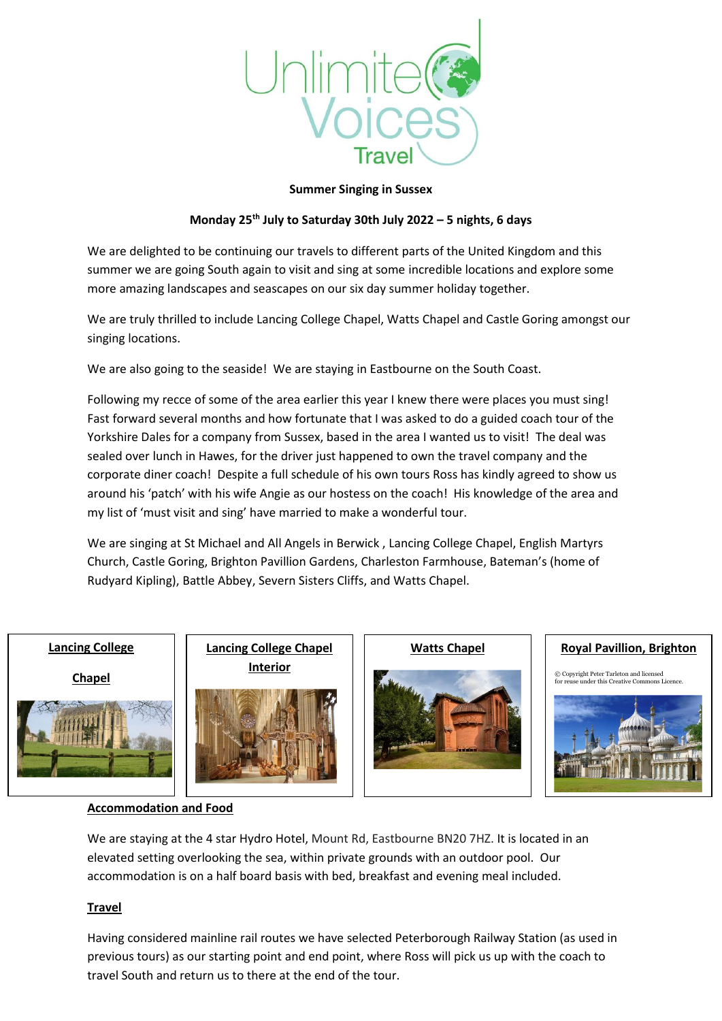

## **Summer Singing in Sussex**

# **Monday 25th July to Saturday 30th July 2022 – 5 nights, 6 days**

We are delighted to be continuing our travels to different parts of the United Kingdom and this summer we are going South again to visit and sing at some incredible locations and explore some more amazing landscapes and seascapes on our six day summer holiday together.

We are truly thrilled to include Lancing College Chapel, Watts Chapel and Castle Goring amongst our singing locations.

We are also going to the seaside! We are staying in Eastbourne on the South Coast.

Following my recce of some of the area earlier this year I knew there were places you must sing! Fast forward several months and how fortunate that I was asked to do a guided coach tour of the Yorkshire Dales for a company from Sussex, based in the area I wanted us to visit! The deal was sealed over lunch in Hawes, for the driver just happened to own the travel company and the corporate diner coach! Despite a full schedule of his own tours Ross has kindly agreed to show us around his 'patch' with his wife Angie as our hostess on the coach! His knowledge of the area and my list of 'must visit and sing' have married to make a wonderful tour.

We are singing at St Michael and All Angels in Berwick , Lancing College Chapel, English Martyrs Church, Castle Goring, Brighton Pavillion Gardens, Charleston Farmhouse, Bateman's (home of Rudyard Kipling), Battle Abbey, Severn Sisters Cliffs, and Watts Chapel.

#### **Lancing College**

**Chapel**



**Lancing College Chapel | Watts Chapel Interior**







**Royal Pavillion, Brighton**

 $©$  Copyright [Peter Tarleton](https://www.geograph.org.uk/profile/12907) and licen gright reter rancton and neensed<br>se under this Creative Commons Licence



## **Accommodation and Food**

We are staying at the 4 star Hydro Hotel, Mount Rd, Eastbourne BN20 7HZ. It is located in an elevated setting overlooking the sea, within private grounds with an outdoor pool. Our accommodation is on a half board basis with bed, breakfast and evening meal included.

# **Travel**

Having considered mainline rail routes we have selected Peterborough Railway Station (as used in previous tours) as our starting point and end point, where Ross will pick us up with the coach to travel South and return us to there at the end of the tour.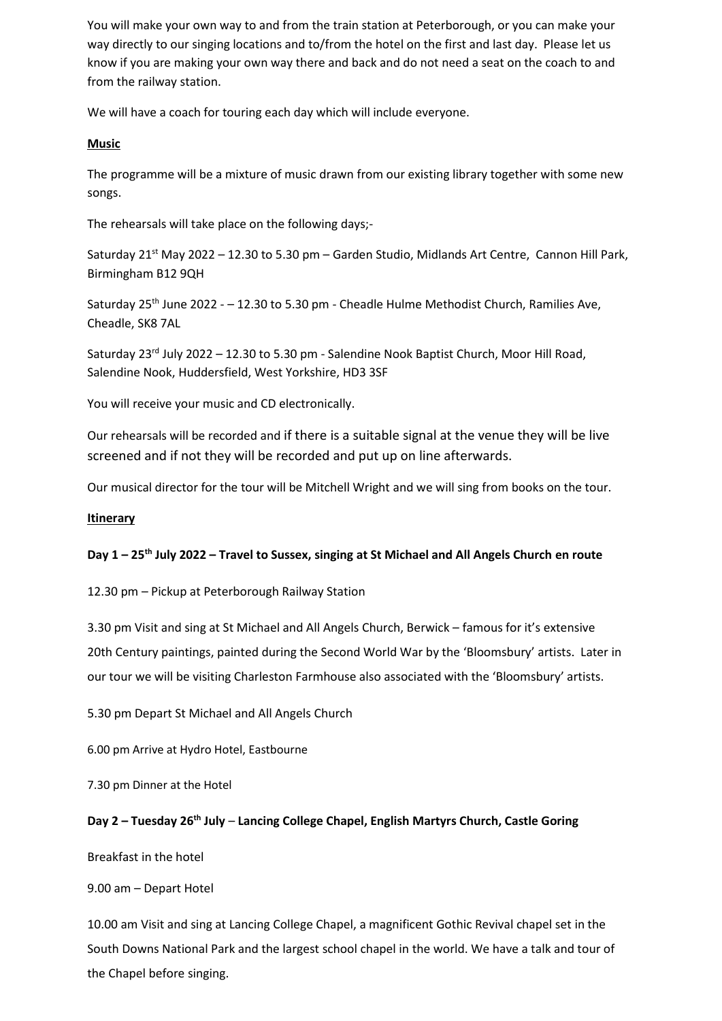You will make your own way to and from the train station at Peterborough, or you can make your way directly to our singing locations and to/from the hotel on the first and last day. Please let us know if you are making your own way there and back and do not need a seat on the coach to and from the railway station.

We will have a coach for touring each day which will include everyone.

#### **Music**

The programme will be a mixture of music drawn from our existing library together with some new songs.

The rehearsals will take place on the following days;-

Saturday  $21^{st}$  May 2022 – 12.30 to 5.30 pm – Garden Studio, Midlands Art Centre, Cannon Hill Park, Birmingham B12 9QH

Saturday 25<sup>th</sup> June 2022 - - 12.30 to 5.30 pm - Cheadle Hulme Methodist Church, Ramilies Ave, Cheadle, SK8 7AL

Saturday  $23<sup>rd</sup>$  July 2022 – 12.30 to 5.30 pm - Salendine Nook Baptist Church, Moor Hill Road, Salendine Nook, Huddersfield, West Yorkshire, HD3 3SF

You will receive your music and CD electronically.

Our rehearsals will be recorded and if there is a suitable signal at the venue they will be live screened and if not they will be recorded and put up on line afterwards.

Our musical director for the tour will be Mitchell Wright and we will sing from books on the tour.

#### **Itinerary**

#### **Day 1 – 25th July 2022 – Travel to Sussex, singing at St Michael and All Angels Church en route**

12.30 pm – Pickup at Peterborough Railway Station

3.30 pm Visit and sing at St Michael and All Angels Church, Berwick – famous for it's extensive 20th Century paintings, painted during the Second World War by the 'Bloomsbury' artists. Later in our tour we will be visiting Charleston Farmhouse also associated with the 'Bloomsbury' artists.

5.30 pm Depart St Michael and All Angels Church

6.00 pm Arrive at Hydro Hotel, Eastbourne

7.30 pm Dinner at the Hotel

## **Day 2 – Tuesday 26 th July** – **Lancing College Chapel, English Martyrs Church, Castle Goring**

Breakfast in the hotel

9.00 am – Depart Hotel

10.00 am Visit and sing at Lancing College Chapel, a magnificent Gothic Revival chapel set in the South Downs National Park and the largest school chapel in the world. We have a talk and tour of the Chapel before singing.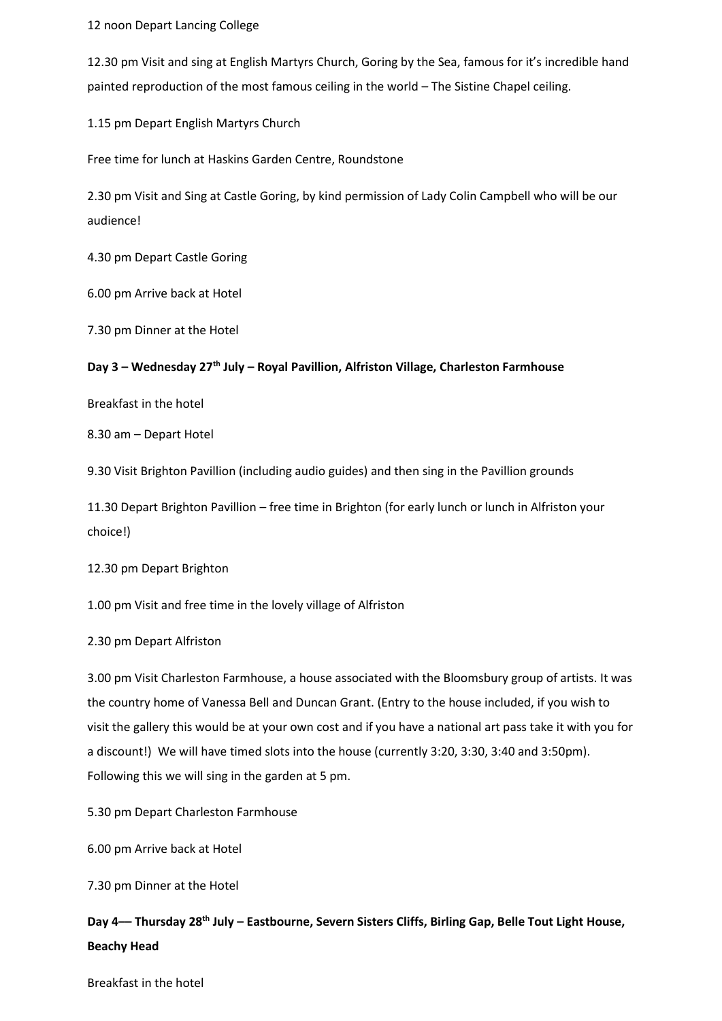12 noon Depart Lancing College

12.30 pm Visit and sing at English Martyrs Church, Goring by the Sea, famous for it's incredible hand painted reproduction of the most famous ceiling in the world – The Sistine Chapel ceiling.

1.15 pm Depart English Martyrs Church

Free time for lunch at Haskins Garden Centre, Roundstone

2.30 pm Visit and Sing at Castle Goring, by kind permission of Lady Colin Campbell who will be our audience!

4.30 pm Depart Castle Goring

6.00 pm Arrive back at Hotel

7.30 pm Dinner at the Hotel

### **Day 3 – Wednesday 27 th July – Royal Pavillion, Alfriston Village, Charleston Farmhouse**

Breakfast in the hotel

8.30 am – Depart Hotel

9.30 Visit Brighton Pavillion (including audio guides) and then sing in the Pavillion grounds

11.30 Depart Brighton Pavillion – free time in Brighton (for early lunch or lunch in Alfriston your choice!)

12.30 pm Depart Brighton

1.00 pm Visit and free time in the lovely village of Alfriston

2.30 pm Depart Alfriston

3.00 pm Visit Charleston Farmhouse, a house associated with the Bloomsbury group of artists. It was the country home of Vanessa Bell and Duncan Grant. (Entry to the house included, if you wish to visit the gallery this would be at your own cost and if you have a national art pass take it with you for a discount!) We will have timed slots into the house (currently 3:20, 3:30, 3:40 and 3:50pm). Following this we will sing in the garden at 5 pm.

5.30 pm Depart Charleston Farmhouse

6.00 pm Arrive back at Hotel

7.30 pm Dinner at the Hotel

**Day 4–– Thursday 28 th July – Eastbourne, Severn Sisters Cliffs, Birling Gap, Belle Tout Light House, Beachy Head**

Breakfast in the hotel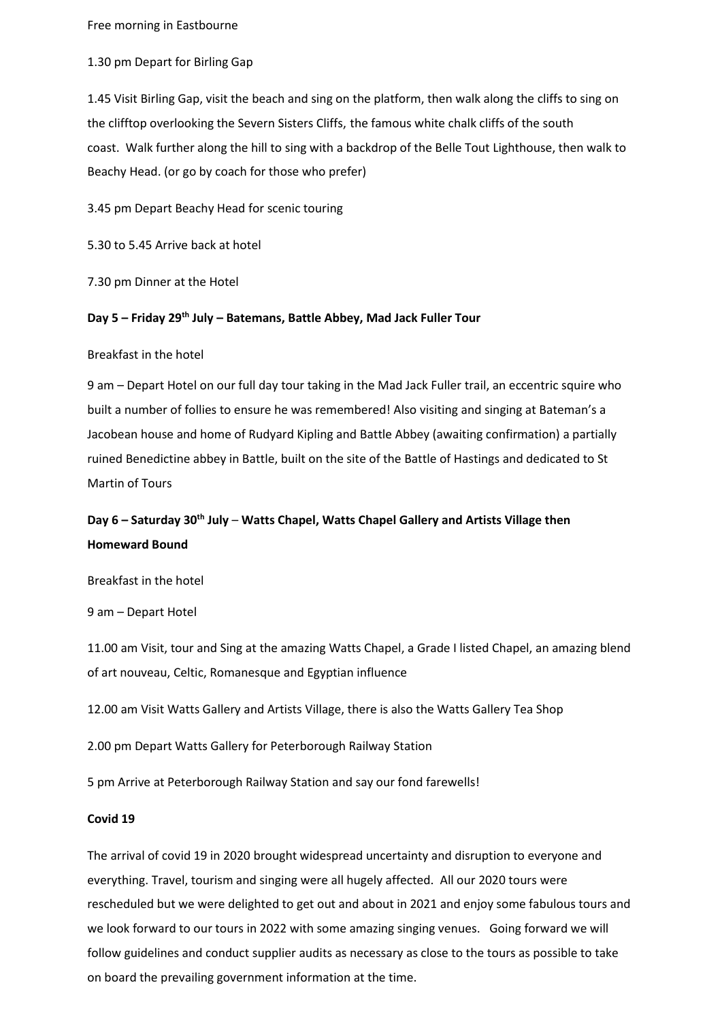Free morning in Eastbourne

1.30 pm Depart for Birling Gap

1.45 Visit Birling Gap, visit the beach and sing on the platform, then walk along the cliffs to sing on the clifftop overlooking the Severn Sisters Cliffs, the famous white chalk cliffs of the south coast. Walk further along the hill to sing with a backdrop of the Belle Tout Lighthouse, then walk to Beachy Head. (or go by coach for those who prefer)

3.45 pm Depart Beachy Head for scenic touring

5.30 to 5.45 Arrive back at hotel

7.30 pm Dinner at the Hotel

#### **Day 5 – Friday 29 th July – Batemans, Battle Abbey, Mad Jack Fuller Tour**

Breakfast in the hotel

9 am – Depart Hotel on our full day tour taking in the Mad Jack Fuller trail, an eccentric squire who built a number of follies to ensure he was remembered! Also visiting and singing at Bateman's a Jacobean house and home of Rudyard Kipling and Battle Abbey (awaiting confirmation) a partially ruined Benedictine abbey in Battle, built on the site of the Battle of Hastings and dedicated to St Martin of Tours

# **Day 6 – Saturday 30 th July** – **Watts Chapel, Watts Chapel Gallery and Artists Village then Homeward Bound**

Breakfast in the hotel

9 am – Depart Hotel

11.00 am Visit, tour and Sing at the amazing Watts Chapel, a Grade I listed Chapel, an amazing blend of art nouveau, Celtic, Romanesque and Egyptian influence

12.00 am Visit Watts Gallery and Artists Village, there is also the Watts Gallery Tea Shop

2.00 pm Depart Watts Gallery for Peterborough Railway Station

5 pm Arrive at Peterborough Railway Station and say our fond farewells!

#### **Covid 19**

The arrival of covid 19 in 2020 brought widespread uncertainty and disruption to everyone and everything. Travel, tourism and singing were all hugely affected. All our 2020 tours were rescheduled but we were delighted to get out and about in 2021 and enjoy some fabulous tours and we look forward to our tours in 2022 with some amazing singing venues. Going forward we will follow guidelines and conduct supplier audits as necessary as close to the tours as possible to take on board the prevailing government information at the time.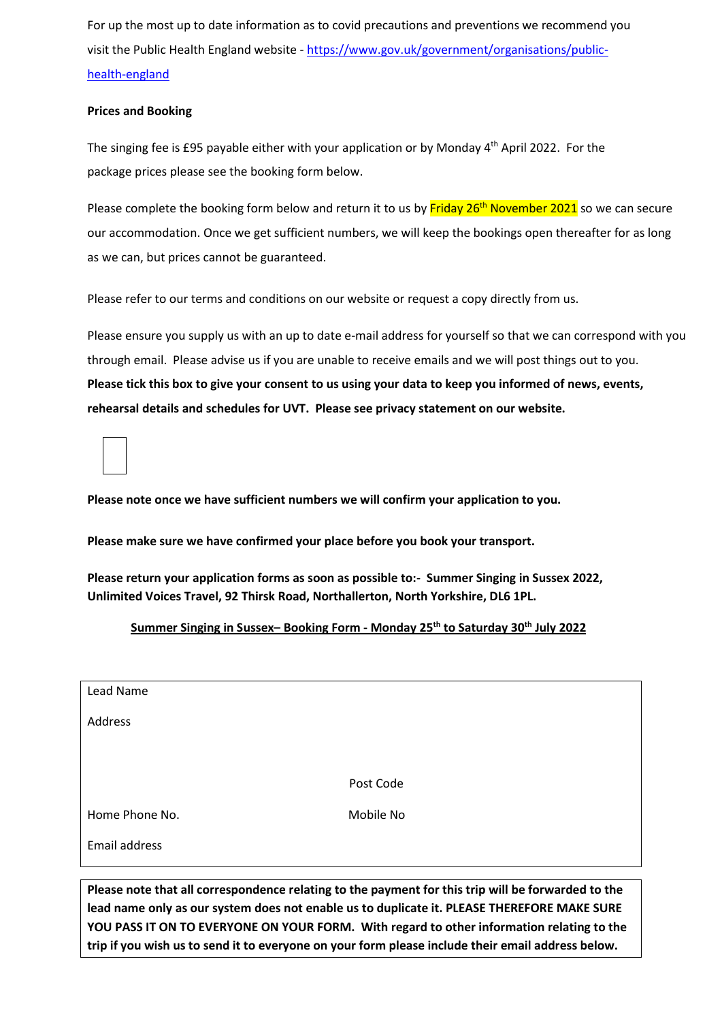For up the most up to date information as to covid precautions and preventions we recommend you visit the Public Health England website - [https://www.gov.uk/government/organisations/public](https://www.gov.uk/government/organisations/public-health-england)[health-england](https://www.gov.uk/government/organisations/public-health-england)

## **Prices and Booking**

The singing fee is £95 payable either with your application or by Monday 4th April 2022. For the package prices please see the booking form below.

Please complete the booking form below and return it to us by Friday 26<sup>th</sup> November 2021 so we can secure our accommodation. Once we get sufficient numbers, we will keep the bookings open thereafter for as long as we can, but prices cannot be guaranteed.

Please refer to our terms and conditions on our website or request a copy directly from us.

Please ensure you supply us with an up to date e-mail address for yourself so that we can correspond with you through email. Please advise us if you are unable to receive emails and we will post things out to you. **Please tick this box to give your consent to us using your data to keep you informed of news, events, rehearsal details and schedules for UVT. Please see privacy statement on our website.** 

**Please note once we have sufficient numbers we will confirm your application to you.**

**Please make sure we have confirmed your place before you book your transport.**

**Please return your application forms as soon as possible to:- Summer Singing in Sussex 2022, Unlimited Voices Travel, 92 Thirsk Road, Northallerton, North Yorkshire, DL6 1PL.** 

## **Summer Singing in Sussex– Booking Form - Monday 25 th to Saturday 30 th July 2022**

| Lead Name      |           |
|----------------|-----------|
| Address        |           |
|                |           |
|                | Post Code |
| Home Phone No. | Mobile No |
| Email address  |           |
|                |           |

**Please note that all correspondence relating to the payment for this trip will be forwarded to the lead name only as our system does not enable us to duplicate it. PLEASE THEREFORE MAKE SURE YOU PASS IT ON TO EVERYONE ON YOUR FORM. With regard to other information relating to the trip if you wish us to send it to everyone on your form please include their email address below.**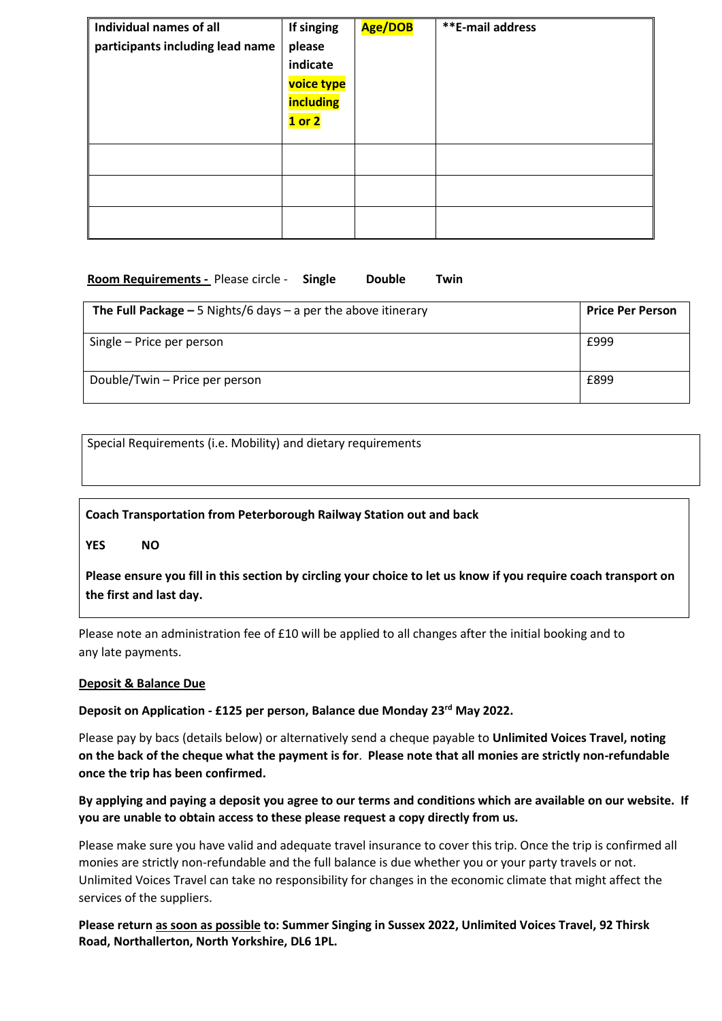| Individual names of all          | If singing | Age/DOB | <b>**E-mail address</b> |
|----------------------------------|------------|---------|-------------------------|
| participants including lead name | please     |         |                         |
|                                  | indicate   |         |                         |
|                                  | voice type |         |                         |
|                                  | including  |         |                         |
|                                  | $1$ or $2$ |         |                         |
|                                  |            |         |                         |
|                                  |            |         |                         |
|                                  |            |         |                         |
|                                  |            |         |                         |
|                                  |            |         |                         |
|                                  |            |         |                         |

## **Room Requirements -** Please circle - **Single Double Twin**

| The Full Package $-5$ Nights/6 days $-$ a per the above itinerary | <b>Price Per Person</b> |
|-------------------------------------------------------------------|-------------------------|
| Single – Price per person                                         | £999                    |
| Double/Twin – Price per person                                    | £899                    |

Special Requirements (i.e. Mobility) and dietary requirements

# **Coach Transportation from Peterborough Railway Station out and back**

**YES NO**

**Please ensure you fill in this section by circling your choice to let us know if you require coach transport on the first and last day.** 

Please note an administration fee of £10 will be applied to all changes after the initial booking and to any late payments.

## **Deposit & Balance Due**

**Deposit on Application - £125 per person, Balance due Monday 23rd May 2022.**

Please pay by bacs (details below) or alternatively send a cheque payable to **Unlimited Voices Travel, noting on the back of the cheque what the payment is for**. **Please note that all monies are strictly non-refundable once the trip has been confirmed.** 

# **By applying and paying a deposit you agree to our terms and conditions which are available on our website. If you are unable to obtain access to these please request a copy directly from us.**

Please make sure you have valid and adequate travel insurance to cover this trip. Once the trip is confirmed all monies are strictly non-refundable and the full balance is due whether you or your party travels or not. Unlimited Voices Travel can take no responsibility for changes in the economic climate that might affect the services of the suppliers.

**Please return as soon as possible to: Summer Singing in Sussex 2022, Unlimited Voices Travel, 92 Thirsk Road, Northallerton, North Yorkshire, DL6 1PL.**